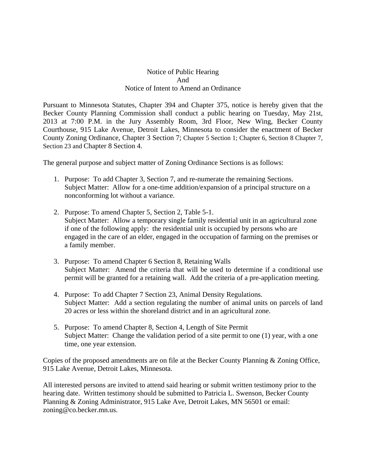## Notice of Public Hearing And Notice of Intent to Amend an Ordinance

Pursuant to Minnesota Statutes, Chapter 394 and Chapter 375, notice is hereby given that the Becker County Planning Commission shall conduct a public hearing on Tuesday, May 21st, 2013 at 7:00 P.M. in the Jury Assembly Room, 3rd Floor, New Wing, Becker County Courthouse, 915 Lake Avenue, Detroit Lakes, Minnesota to consider the enactment of Becker County Zoning Ordinance, Chapter 3 Section 7; Chapter 5 Section 1; Chapter 6, Section 8 Chapter 7, Section 23 and Chapter 8 Section 4.

The general purpose and subject matter of Zoning Ordinance Sections is as follows:

- 1. Purpose: To add Chapter 3, Section 7, and re-numerate the remaining Sections. Subject Matter: Allow for a one-time addition/expansion of a principal structure on a nonconforming lot without a variance.
- 2. Purpose: To amend Chapter 5, Section 2, Table 5-1. Subject Matter: Allow a temporary single family residential unit in an agricultural zone if one of the following apply: the residential unit is occupied by persons who are engaged in the care of an elder, engaged in the occupation of farming on the premises or a family member.
- 3. Purpose: To amend Chapter 6 Section 8, Retaining Walls Subject Matter: Amend the criteria that will be used to determine if a conditional use permit will be granted for a retaining wall. Add the criteria of a pre-application meeting.
- 4. Purpose: To add Chapter 7 Section 23, Animal Density Regulations. Subject Matter: Add a section regulating the number of animal units on parcels of land 20 acres or less within the shoreland district and in an agricultural zone.
- 5. Purpose: To amend Chapter 8, Section 4, Length of Site Permit Subject Matter: Change the validation period of a site permit to one (1) year, with a one time, one year extension.

Copies of the proposed amendments are on file at the Becker County Planning & Zoning Office, 915 Lake Avenue, Detroit Lakes, Minnesota.

All interested persons are invited to attend said hearing or submit written testimony prior to the hearing date. Written testimony should be submitted to Patricia L. Swenson, Becker County Planning & Zoning Administrator, 915 Lake Ave, Detroit Lakes, MN 56501 or email: zoning@co.becker.mn.us.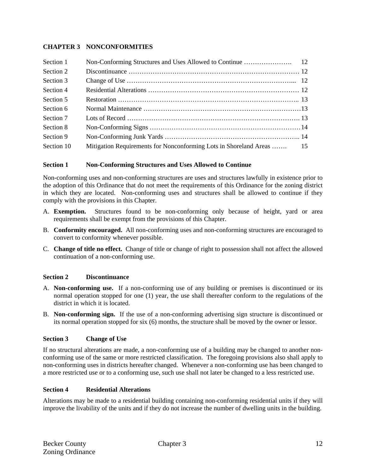## **CHAPTER 3 NONCONFORMITIES**

| Section 1  |                                                                       |  |
|------------|-----------------------------------------------------------------------|--|
| Section 2  |                                                                       |  |
| Section 3  |                                                                       |  |
| Section 4  |                                                                       |  |
| Section 5  |                                                                       |  |
| Section 6  |                                                                       |  |
| Section 7  |                                                                       |  |
| Section 8  |                                                                       |  |
| Section 9  |                                                                       |  |
| Section 10 | Mitigation Requirements for Nonconforming Lots in Shoreland Areas  15 |  |

## **Section 1 Non-Conforming Structures and Uses Allowed to Continue**

Non-conforming uses and non-conforming structures are uses and structures lawfully in existence prior to the adoption of this Ordinance that do not meet the requirements of this Ordinance for the zoning district in which they are located. Non-conforming uses and structures shall be allowed to continue if they comply with the provisions in this Chapter.

- A. **Exemption.** Structures found to be non-conforming only because of height, yard or area requirements shall be exempt from the provisions of this Chapter.
- B. **Conformity encouraged.** All non-conforming uses and non-conforming structures are encouraged to convert to conformity whenever possible.
- C. **Change of title no effect.** Change of title or change of right to possession shall not affect the allowed continuation of a non-conforming use.

## **Section 2 Discontinuance**

- A. **Non-conforming use.** If a non-conforming use of any building or premises is discontinued or its normal operation stopped for one (1) year, the use shall thereafter conform to the regulations of the district in which it is located.
- B. **Non-conforming sign.** If the use of a non-conforming advertising sign structure is discontinued or its normal operation stopped for six (6) months, the structure shall be moved by the owner or lessor.

## **Section 3 Change of Use**

If no structural alterations are made, a non-conforming use of a building may be changed to another nonconforming use of the same or more restricted classification. The foregoing provisions also shall apply to non-conforming uses in districts hereafter changed. Whenever a non-conforming use has been changed to a more restricted use or to a conforming use, such use shall not later be changed to a less restricted use.

## **Section 4 Residential Alterations**

Alterations may be made to a residential building containing non-conforming residential units if they will improve the livability of the units and if they do not increase the number of dwelling units in the building.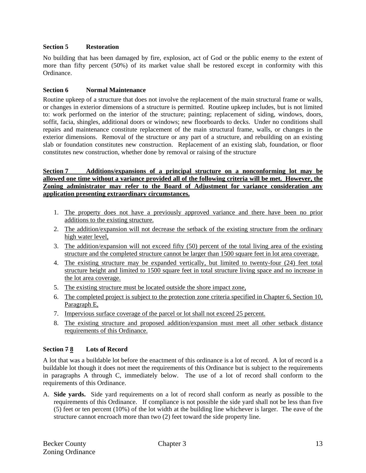### **Section 5 Restoration**

No building that has been damaged by fire, explosion, act of God or the public enemy to the extent of more than fifty percent (50%) of its market value shall be restored except in conformity with this Ordinance.

## **Section 6 Normal Maintenance**

Routine upkeep of a structure that does not involve the replacement of the main structural frame or walls, or changes in exterior dimensions of a structure is permitted. Routine upkeep includes, but is not limited to: work performed on the interior of the structure; painting; replacement of siding, windows, doors, soffit, facia, shingles, additional doors or windows; new floorboards to decks. Under no conditions shall repairs and maintenance constitute replacement of the main structural frame, walls, or changes in the exterior dimensions. Removal of the structure or any part of a structure, and rebuilding on an existing slab or foundation constitutes new construction. Replacement of an existing slab, foundation, or floor constitutes new construction, whether done by removal or raising of the structure

### **Section 7 Additions/expansions of a principal structure on a nonconforming lot may be allowed one time without a variance provided all of the following criteria will be met. However, the Zoning administrator may refer to the Board of Adjustment for variance consideration any application presenting extraordinary circumstances.**

- 1. The property does not have a previously approved variance and there have been no prior additions to the existing structure.
- 2. The addition/expansion will not decrease the setback of the existing structure from the ordinary high water level,
- 3. The addition/expansion will not exceed fifty (50) percent of the total living area of the existing structure and the completed structure cannot be larger than 1500 square feet in lot area coverage.
- 4. The existing structure may be expanded vertically, but limited to twenty-four (24) feet total structure height and limited to 1500 square feet in total structure living space and no increase in the lot area coverage.
- 5. The existing structure must be located outside the shore impact zone,
- 6. The completed project is subject to the protection zone criteria specified in Chapter 6, Section 10, Paragraph E,
- 7. Impervious surface coverage of the parcel or lot shall not exceed 25 percent.
- 8. The existing structure and proposed addition/expansion must meet all other setback distance requirements of this Ordinance.

## **Section 7 8 Lots of Record**

A lot that was a buildable lot before the enactment of this ordinance is a lot of record. A lot of record is a buildable lot though it does not meet the requirements of this Ordinance but is subject to the requirements in paragraphs A through C, immediately below. The use of a lot of record shall conform to the requirements of this Ordinance.

A. **Side yards.** Side yard requirements on a lot of record shall conform as nearly as possible to the requirements of this Ordinance. If compliance is not possible the side yard shall not be less than five (5) feet or ten percent (10%) of the lot width at the building line whichever is larger. The eave of the structure cannot encroach more than two (2) feet toward the side property line.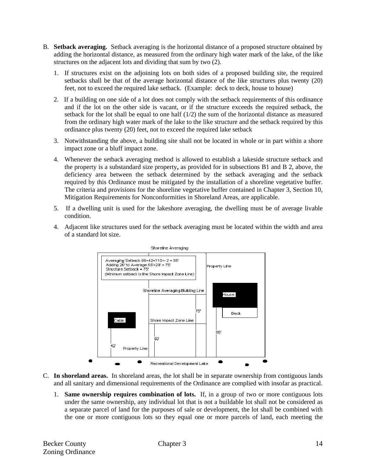- B. **Setback averaging.** Setback averaging is the horizontal distance of a proposed structure obtained by adding the horizontal distance, as measured from the ordinary high water mark of the lake, of the like structures on the adjacent lots and dividing that sum by two (2).
	- 1. If structures exist on the adjoining lots on both sides of a proposed building site, the required setbacks shall be that of the average horizontal distance of the like structures plus twenty (20) feet, not to exceed the required lake setback. (Example: deck to deck, house to house)
	- 2. If a building on one side of a lot does not comply with the setback requirements of this ordinance and if the lot on the other side is vacant, or if the structure exceeds the required setback, the setback for the lot shall be equal to one half  $(1/2)$  the sum of the horizontal distance as measured from the ordinary high water mark of the lake to the like structure and the setback required by this ordinance plus twenty (20) feet, not to exceed the required lake setback
	- 3. Notwithstanding the above, a building site shall not be located in whole or in part within a shore impact zone or a bluff impact zone.
	- 4. Whenever the setback averaging method is allowed to establish a lakeside structure setback and the property is a substandard size property**,** as provided for in subsections B1 and B 2, above, the deficiency area between the setback determined by the setback averaging and the setback required by this Ordinance must be mitigated by the installation of a shoreline vegetative buffer. The criteria and provisions for the shoreline vegetative buffer contained in Chapter 3, Section 10, Mitigation Requirements for Nonconformities in Shoreland Areas, are applicable.
	- 5. If a dwelling unit is used for the lakeshore averaging, the dwelling must be of average livable condition.
	- 4. Adjacent like structures used for the setback averaging must be located within the width and area of a standard lot size.



- C. **In shoreland areas.** In shoreland areas, the lot shall be in separate ownership from contiguous lands and all sanitary and dimensional requirements of the Ordinance are complied with insofar as practical.
	- 1. **Same ownership requires combination of lots.** If, in a group of two or more contiguous lots under the same ownership, any individual lot that is not a buildable lot shall not be considered as a separate parcel of land for the purposes of sale or development, the lot shall be combined with the one or more contiguous lots so they equal one or more parcels of land, each meeting the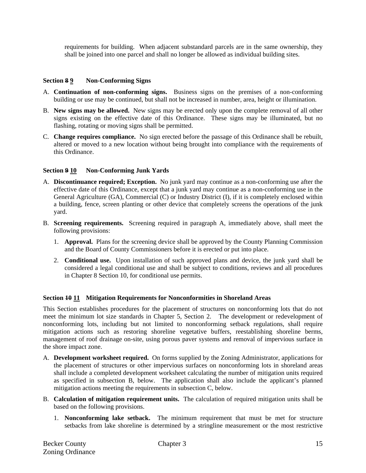requirements for building. When adjacent substandard parcels are in the same ownership, they shall be joined into one parcel and shall no longer be allowed as individual building sites.

## **Section 8 9 Non-Conforming Signs**

- A. **Continuation of non-conforming signs.** Business signs on the premises of a non-conforming building or use may be continued, but shall not be increased in number, area, height or illumination.
- B. **New signs may be allowed.** New signs may be erected only upon the complete removal of all other signs existing on the effective date of this Ordinance. These signs may be illuminated, but no flashing, rotating or moving signs shall be permitted.
- C. **Change requires compliance.** No sign erected before the passage of this Ordinance shall be rebuilt, altered or moved to a new location without being brought into compliance with the requirements of this Ordinance.

## **Section 9 10 Non-Conforming Junk Yards**

- A. **Discontinuance required; Exception.** No junk yard may continue as a non-conforming use after the effective date of this Ordinance, except that a junk yard may continue as a non-conforming use in the General Agriculture (GA), Commercial (C) or Industry District (I), if it is completely enclosed within a building, fence, screen planting or other device that completely screens the operations of the junk yard.
- B. **Screening requirements.** Screening required in paragraph A, immediately above, shall meet the following provisions:
	- 1. **Approval.** Plans for the screening device shall be approved by the County Planning Commission and the Board of County Commissioners before it is erected or put into place.
	- 2. **Conditional use.** Upon installation of such approved plans and device, the junk yard shall be considered a legal conditional use and shall be subject to conditions, reviews and all procedures in Chapter 8 Section 10, for conditional use permits.

### **Section 10 11 Mitigation Requirements for Nonconformities in Shoreland Areas**

This Section establishes procedures for the placement of structures on nonconforming lots that do not meet the minimum lot size standards in Chapter 5, Section 2. The development or redevelopment of nonconforming lots, including but not limited to nonconforming setback regulations, shall require mitigation actions such as restoring shoreline vegetative buffers, reestablishing shoreline berms, management of roof drainage on-site, using porous paver systems and removal of impervious surface in the shore impact zone.

- A. **Development worksheet required.** On forms supplied by the Zoning Administrator, applications for the placement of structures or other impervious surfaces on nonconforming lots in shoreland areas shall include a completed development worksheet calculating the number of mitigation units required as specified in subsection B, below. The application shall also include the applicant's planned mitigation actions meeting the requirements in subsection C, below.
- B. **Calculation of mitigation requirement units.** The calculation of required mitigation units shall be based on the following provisions.
	- 1. **Nonconforming lake setback.** The minimum requirement that must be met for structure setbacks from lake shoreline is determined by a stringline measurement or the most restrictive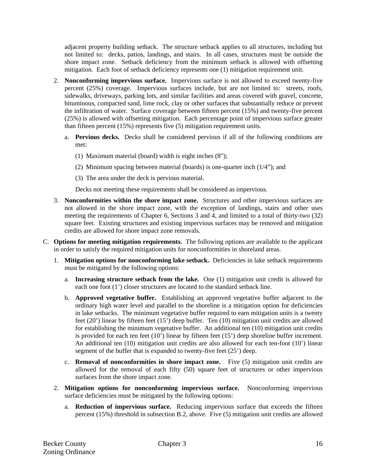adjacent property building setback. The structure setback applies to all structures, including but not limited to: decks, patios, landings, and stairs. In all cases, structures must be outside the shore impact zone. Setback deficiency from the minimum setback is allowed with offsetting mitigation. Each foot of setback deficiency represents one (1) mitigation requirement unit.

- 2. **Nonconforming impervious surface.** Impervious surface is not allowed to exceed twenty-five percent (25%) coverage. Impervious surfaces include, but are not limited to: streets, roofs, sidewalks, driveways, parking lots, and similar facilities and areas covered with gravel, concrete, bituminous, compacted sand, lime rock, clay or other surfaces that substantially reduce or prevent the infiltration of water. Surface coverage between fifteen percent (15%) and twenty-five percent (25%) is allowed with offsetting mitigation. Each percentage point of impervious surface greater than fifteen percent (15%) represents five (5) mitigation requirement units.
	- a. **Pervious decks.** Decks shall be considered pervious if all of the following conditions are met:
		- (1) Maximum material (board) width is eight inches (8");
		- (2) Minimum spacing between material (boards) is one-quarter inch (1/4"); and
		- (3) The area under the deck is pervious material.

Decks not meeting these requirements shall be considered as impervious.

- 3. **Nonconformities within the shore impact zone.** Structures and other impervious surfaces are not allowed in the shore impact zone, with the exception of landings, stairs and other uses meeting the requirements of Chapter 6, Sections 3 and 4, and limited to a total of thirty-two (32) square feet. Existing structures and existing impervious surfaces may be removed and mitigation credits are allowed for shore impact zone removals.
- C. **Options for meeting mitigation requirements.** The following options are available to the applicant in order to satisfy the required mitigation units for nonconformities in shoreland areas.
	- 1. **Mitigation options for nonconforming lake setback.** Deficiencies in lake setback requirements must be mitigated by the following options:
		- a. **Increasing structure setback from the lake.** One (1) mitigation unit credit is allowed for each one foot (1') closer structures are located to the standard setback line.
		- b. **Approved vegetative buffer.** Establishing an approved vegetative buffer adjacent to the ordinary high water level and parallel to the shoreline is a mitigation option for deficiencies in lake setbacks. The minimum vegetative buffer required to earn mitigation units is a twenty feet (20') linear by fifteen feet (15') deep buffer. Ten (10) mitigation unit credits are allowed for establishing the minimum vegetative buffer. An additional ten (10) mitigation unit credits is provided for each ten feet (10') linear by fifteen feet (15') deep shoreline buffer increment. An additional ten (10) mitigation unit credits are also allowed for each ten-foot (10') linear segment of the buffer that is expanded to twenty-five feet (25') deep.
		- c. **Removal of nonconformities in shore impact zone.** Five (5) mitigation unit credits are allowed for the removal of each fifty (50) square feet of structures or other impervious surfaces from the shore impact zone.
	- 2. **Mitigation options for nonconforming impervious surface.** Nonconforming impervious surface deficiencies must be mitigated by the following options:
		- a. **Reduction of impervious surface.** Reducing impervious surface that exceeds the fifteen percent (15%) threshold in subsection B.2, above.Five (5) mitigation unit credits are allowed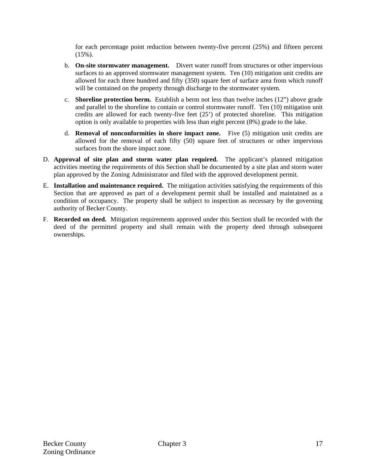for each percentage point reduction between twenty-five percent (25%) and fifteen percent (15%).

- b. **On-site stormwater management.** Divert water runoff from structures or other impervious surfaces to an approved stormwater management system. Ten (10) mitigation unit credits are allowed for each three hundred and fifty (350) square feet of surface area from which runoff will be contained on the property through discharge to the stormwater system.
- c. **Shoreline protection berm.** Establish a berm not less than twelve inches (12") above grade and parallel to the shoreline to contain or control stormwater runoff. Ten (10) mitigation unit credits are allowed for each twenty-five feet (25') of protected shoreline. This mitigation option is only available to properties with less than eight percent (8%) grade to the lake.
- d. **Removal of nonconformities in shore impact zone.** Five (5) mitigation unit credits are allowed for the removal of each fifty (50) square feet of structures or other impervious surfaces from the shore impact zone.
- D. **Approval of site plan and storm water plan required.** The applicant's planned mitigation activities meeting the requirements of this Section shall be documented by a site plan and storm water plan approved by the Zoning Administrator and filed with the approved development permit.
- E. **Installation and maintenance required.** The mitigation activities satisfying the requirements of this Section that are approved as part of a development permit shall be installed and maintained as a condition of occupancy. The property shall be subject to inspection as necessary by the governing authority of Becker County.
- F. **Recorded on deed.** Mitigation requirements approved under this Section shall be recorded with the deed of the permitted property and shall remain with the property deed through subsequent ownerships.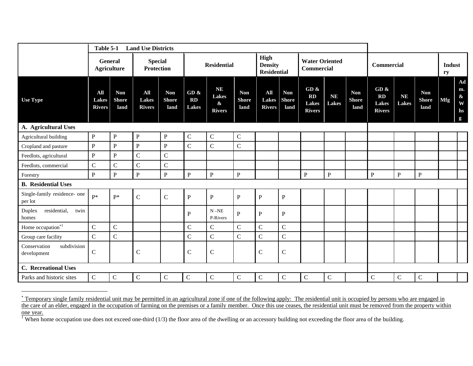|                                            | Table 5-1<br><b>Land Use Districts</b> |                                    |                                      |                                    |                            |                                                   |                                    |                                              |                                    |                                                    |                    |                                    |                                                          |                           |                                    |                     |                                                          |
|--------------------------------------------|----------------------------------------|------------------------------------|--------------------------------------|------------------------------------|----------------------------|---------------------------------------------------|------------------------------------|----------------------------------------------|------------------------------------|----------------------------------------------------|--------------------|------------------------------------|----------------------------------------------------------|---------------------------|------------------------------------|---------------------|----------------------------------------------------------|
|                                            | <b>General</b>                         | <b>Agriculture</b>                 | <b>Special</b><br><b>Protection</b>  |                                    | <b>Residential</b>         |                                                   |                                    | High<br><b>Density</b><br><b>Residential</b> |                                    | <b>Water Oriented</b><br><b>Commercial</b>         |                    |                                    | <b>Commercial</b>                                        |                           |                                    | <b>Indust</b><br>ry |                                                          |
| <b>Use Type</b>                            | All<br><b>Lakes</b><br><b>Rivers</b>   | <b>Non</b><br><b>Shore</b><br>land | All<br><b>Lakes</b><br><b>Rivers</b> | <b>Non</b><br><b>Shore</b><br>land | GD &<br><b>RD</b><br>Lakes | <b>NE</b><br>Lakes<br>$\pmb{\&}$<br><b>Rivers</b> | <b>Non</b><br><b>Shore</b><br>land | All<br><b>Lakes</b><br><b>Rivers</b>         | <b>Non</b><br><b>Shore</b><br>land | GD &<br><b>RD</b><br><b>Lakes</b><br><b>Rivers</b> | <b>NE</b><br>Lakes | <b>Non</b><br><b>Shore</b><br>land | GD $\&$<br>$\mathbf{R}$<br><b>Lakes</b><br><b>Rivers</b> | <b>NE</b><br><b>Lakes</b> | <b>Non</b><br><b>Shore</b><br>land | <b>Mfg</b>          | Ad<br>m.<br>$\boldsymbol{\&}$<br>W<br>hs<br>$\mathbf{g}$ |
| A. Agricultural Uses                       |                                        |                                    |                                      |                                    |                            |                                                   |                                    |                                              |                                    |                                                    |                    |                                    |                                                          |                           |                                    |                     |                                                          |
| Agricultural building                      | $\, {\bf P}$                           | ${\bf P}$                          | ${\bf P}$                            | $\, {\bf P}$                       | $\mathbf C$                | $\mathsf C$                                       | ${\bf C}$                          |                                              |                                    |                                                    |                    |                                    |                                                          |                           |                                    |                     |                                                          |
| Cropland and pasture                       | $\, {\bf P}$                           | $\mathbf P$                        | ${\bf P}$                            | ${\bf P}$                          | $\overline{C}$             | $\mathbf C$                                       | $\mathbf C$                        |                                              |                                    |                                                    |                    |                                    |                                                          |                           |                                    |                     |                                                          |
| Feedlots, agricultural                     | $\, {\bf P}$                           | $\mathbf P$                        | ${\bf C}$                            | $\mathsf{C}$                       |                            |                                                   |                                    |                                              |                                    |                                                    |                    |                                    |                                                          |                           |                                    |                     |                                                          |
| Feedlots, commercial                       | $\mathsf C$                            | $\mathsf{C}$                       | $\mathsf C$                          | $\mathcal{C}$                      |                            |                                                   |                                    |                                              |                                    |                                                    |                    |                                    |                                                          |                           |                                    |                     |                                                          |
| Forestry                                   | $\, {\bf P}$                           | $\, {\bf P}$                       | $\mathbf{P}$                         | ${\bf P}$                          | $\, {\bf P}$               | $\mathbf{P}$                                      | $\mathbf{P}$                       |                                              |                                    | $\mathbf P$                                        | $\, {\bf P}$       |                                    | P                                                        | ${\bf P}$                 | $\mathbf{P}$                       |                     |                                                          |
| <b>B.</b> Residential Uses                 |                                        |                                    |                                      |                                    |                            |                                                   |                                    |                                              |                                    |                                                    |                    |                                    |                                                          |                           |                                    |                     |                                                          |
| Single-family residence- one<br>per lot    | $P*$                                   | $P^*$                              | $\mathbf C$                          | $\mathbf C$                        | ${\bf P}$                  | $\, {\bf P}$                                      | ${\bf P}$                          | $\, {\bf P}$                                 | ${\bf P}$                          |                                                    |                    |                                    |                                                          |                           |                                    |                     |                                                          |
| residential,<br>Duplex<br>twin<br>homes    |                                        |                                    |                                      |                                    | $\mathbf{P}$               | $N - NE$<br>P-Rivers                              | $\mathbf{P}$                       | $\mathbf{P}$                                 | P                                  |                                                    |                    |                                    |                                                          |                           |                                    |                     |                                                          |
| Home occupation $*1$                       | ${\bf C}$                              | $\mathsf{C}$                       |                                      |                                    | $\mathsf C$                | $\mathbf C$                                       | $\mathbf C$                        | $\mathbf C$                                  | $\mathcal{C}$                      |                                                    |                    |                                    |                                                          |                           |                                    |                     |                                                          |
| Group care facility                        | $\mathbf C$                            | $\mathsf{C}$                       |                                      |                                    | $\mathcal{C}$              | $\mathbf C$                                       | $\mathbf C$                        | $\mathbf C$                                  | $\mathcal{C}$                      |                                                    |                    |                                    |                                                          |                           |                                    |                     |                                                          |
| subdivision<br>Conservation<br>development | $\mathsf C$                            |                                    | $\mathcal{C}$                        |                                    | $\mathsf{C}$               | $\mathsf{C}$                                      |                                    | $\mathsf{C}$                                 | $\mathsf{C}$                       |                                                    |                    |                                    |                                                          |                           |                                    |                     |                                                          |
| <b>C.</b> Recreational Uses                |                                        |                                    |                                      |                                    |                            |                                                   |                                    |                                              |                                    |                                                    |                    |                                    |                                                          |                           |                                    |                     |                                                          |
| Parks and historic sites                   | $\mathsf{C}$                           | $\mathbf C$                        | ${\bf C}$                            | $\mathsf{C}$                       | $\mathbf C$                | $\mathbf C$                                       | $\mathbf C$                        | $\mathsf C$                                  | $\mathsf{C}$                       | $\mathsf{C}$                                       | $\mathbf C$        |                                    | $\mathbf C$                                              | ${\bf C}$                 | $\mathsf{C}$                       |                     |                                                          |

<sup>∗</sup> Temporary single family residential unit may be permitted in an agricultural zone if one of the following apply: The residential unit is occupied by persons who are engaged in the care of an elder, engaged in the occupation of farming on the premises or a family member. Once this use ceases, the residential unit must be removed from the property within

one year.<br><sup>1</sup> When home occupation use does not exceed one-third (1/3) the floor area of the dwelling or an accessory building not exceeding the floor area of the building.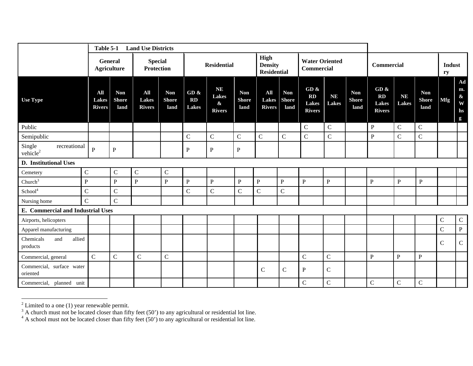|                                                | Table 5-1<br><b>Land Use Districts</b> |                                      |                                      |                                     |                            |                                                          |                                    |                                              |                                    |                                                       |                           |                                    |                                                |                           |                                    |              |                                             |
|------------------------------------------------|----------------------------------------|--------------------------------------|--------------------------------------|-------------------------------------|----------------------------|----------------------------------------------------------|------------------------------------|----------------------------------------------|------------------------------------|-------------------------------------------------------|---------------------------|------------------------------------|------------------------------------------------|---------------------------|------------------------------------|--------------|---------------------------------------------|
|                                                |                                        | <b>General</b><br><b>Agriculture</b> |                                      | <b>Special</b><br><b>Protection</b> |                            | <b>Residential</b>                                       |                                    | High<br><b>Density</b><br><b>Residential</b> |                                    | <b>Water Oriented</b><br><b>Commercial</b>            |                           |                                    | Commercial                                     |                           |                                    | Indust<br>ry |                                             |
| <b>Use Type</b>                                | All<br><b>Lakes</b><br><b>Rivers</b>   | <b>Non</b><br><b>Shore</b><br>land   | All<br><b>Lakes</b><br><b>Rivers</b> | <b>Non</b><br><b>Shore</b><br>land  | GD &<br><b>RD</b><br>Lakes | <b>NE</b><br><b>Lakes</b><br>$\pmb{\&}$<br><b>Rivers</b> | <b>Non</b><br><b>Shore</b><br>land | All<br><b>Lakes</b><br><b>Rivers</b>         | <b>Non</b><br><b>Shore</b><br>land | GD $\&$<br><b>RD</b><br><b>Lakes</b><br><b>Rivers</b> | <b>NE</b><br><b>Lakes</b> | <b>Non</b><br><b>Shore</b><br>land | GD $\&$<br>RD<br><b>Lakes</b><br><b>Rivers</b> | <b>NE</b><br><b>Lakes</b> | <b>Non</b><br><b>Shore</b><br>land | <b>Mfg</b>   | Ad<br>m.<br>$\&$<br>W<br>hs<br>$\mathbf{g}$ |
| Public                                         |                                        |                                      |                                      |                                     |                            |                                                          |                                    |                                              |                                    | $\mathbf C$                                           | $\mathbf C$               |                                    | $\, {\bf P}$                                   | $\mathbf C$               | $\mathbf C$                        |              |                                             |
| Semipublic                                     |                                        |                                      |                                      |                                     | $\mathbf C$                | $\mathbf C$                                              | $\mathbf C$                        | $\overline{C}$                               | $\mathbf C$                        | $\mathsf{C}$                                          | $\overline{C}$            |                                    | $\mathbf{P}$                                   | $\mathbf C$               | $\mathbf C$                        |              |                                             |
| Single<br>recreational<br>vehicle <sup>2</sup> | $\mathbf{P}$                           | ${\bf P}$                            |                                      |                                     | ${\bf P}$                  | ${\bf P}$                                                | $\, {\bf P}$                       |                                              |                                    |                                                       |                           |                                    |                                                |                           |                                    |              |                                             |
| D. Institutional Uses                          |                                        |                                      |                                      |                                     |                            |                                                          |                                    |                                              |                                    |                                                       |                           |                                    |                                                |                           |                                    |              |                                             |
| Cemetery                                       | $\mathbf C$                            | $\mathbf C$                          | $\mathsf{C}$                         | $\mathbf C$                         |                            |                                                          |                                    |                                              |                                    |                                                       |                           |                                    |                                                |                           |                                    |              |                                             |
| Church <sup>3</sup>                            | $\mathbf{P}$                           | $\mathbf{P}$                         | $\mathbf{P}$                         | $\mathbf{P}$                        | $\, {\bf P}$               | ${\bf P}$                                                | $\mathbf{P}$                       | ${\bf P}$                                    | ${\bf P}$                          | $\mathbf{P}$                                          | $\mathbf{P}$              |                                    | $\overline{P}$                                 | P                         | $\, {\bf P}$                       |              |                                             |
| $\ensuremath{\mathsf{School}}^4$               | $\mathbf C$                            | $\mathbf C$                          |                                      |                                     | $\mathbf C$                | $\mathsf{C}$                                             | $\mathbf C$                        | $\mathbf C$                                  | $\mathbf C$                        |                                                       |                           |                                    |                                                |                           |                                    |              |                                             |
| Nursing home                                   | $\overline{C}$                         | $\mathsf{C}$                         |                                      |                                     |                            |                                                          |                                    |                                              |                                    |                                                       |                           |                                    |                                                |                           |                                    |              |                                             |
| <b>E.</b> Commercial and Industrial Uses       |                                        |                                      |                                      |                                     |                            |                                                          |                                    |                                              |                                    |                                                       |                           |                                    |                                                |                           |                                    |              |                                             |
| Airports, helicopters                          |                                        |                                      |                                      |                                     |                            |                                                          |                                    |                                              |                                    |                                                       |                           |                                    |                                                |                           |                                    | $\mathbf C$  | $\mathbf C$                                 |
| Apparel manufacturing                          |                                        |                                      |                                      |                                     |                            |                                                          |                                    |                                              |                                    |                                                       |                           |                                    |                                                |                           |                                    | $\mathbf C$  | $\mathbf{P}$                                |
| allied<br>Chemicals<br>and<br>products         |                                        |                                      |                                      |                                     |                            |                                                          |                                    |                                              |                                    |                                                       |                           |                                    |                                                |                           |                                    | ${\bf C}$    | $\mathsf{C}$                                |
| Commercial, general                            | $\mathbf C$                            | $\mathbf C$                          | $\mathbf C$                          | $\mathbf C$                         |                            |                                                          |                                    |                                              |                                    | $\mathcal{C}$                                         | $\mathbf C$               |                                    | ${\bf P}$                                      | $\mathbf{P}$              | ${\bf P}$                          |              |                                             |
| Commercial, surface water<br>oriented          |                                        |                                      |                                      |                                     |                            |                                                          |                                    | $\mathbf C$                                  | ${\bf C}$                          | $\mathbf P$                                           | $\mathsf C$               |                                    |                                                |                           |                                    |              |                                             |
| Commercial, planned unit                       |                                        |                                      |                                      |                                     |                            |                                                          |                                    |                                              |                                    | $\mathbf C$                                           | $\mathsf C$               |                                    | $\mathsf{C}$                                   | $\mathsf{C}$              | $\mathbf C$                        |              |                                             |

 $2^2$  Limited to a one (1) year renewable permit.

 $3$  A church must not be located closer than fifty feet (50') to any agricultural or residential lot line.

 $4 \text{ A}$  school must not be located closer than fifty feet (50') to any agricultural or residential lot line.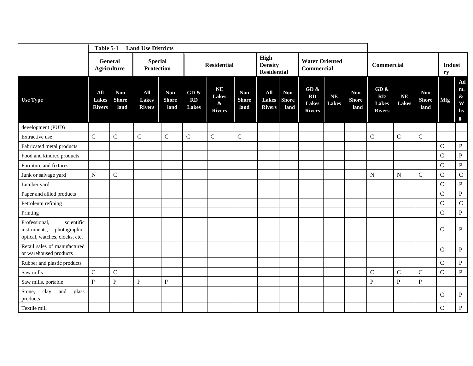|                                                                                                | Table 5-1<br><b>Land Use Districts</b> |                                    |                                      |                                    |                               |                                                          |                                    |                                              |                                    |                                                |                           |                                    |                                                |                           |                                    |                |                                  |  |  |  |
|------------------------------------------------------------------------------------------------|----------------------------------------|------------------------------------|--------------------------------------|------------------------------------|-------------------------------|----------------------------------------------------------|------------------------------------|----------------------------------------------|------------------------------------|------------------------------------------------|---------------------------|------------------------------------|------------------------------------------------|---------------------------|------------------------------------|----------------|----------------------------------|--|--|--|
|                                                                                                | General<br><b>Agriculture</b>          |                                    | <b>Special</b><br><b>Protection</b>  |                                    |                               | <b>Residential</b>                                       |                                    | High<br><b>Density</b><br><b>Residential</b> |                                    | <b>Water Oriented</b><br><b>Commercial</b>     |                           |                                    | <b>Commercial</b>                              | Indust<br>ry              |                                    |                |                                  |  |  |  |
| <b>Use Type</b>                                                                                | All<br><b>Lakes</b><br><b>Rivers</b>   | <b>Non</b><br><b>Shore</b><br>land | All<br><b>Lakes</b><br><b>Rivers</b> | <b>Non</b><br><b>Shore</b><br>land | GD $\&$<br>RD<br><b>Lakes</b> | <b>NE</b><br><b>Lakes</b><br>$\pmb{\&}$<br><b>Rivers</b> | <b>Non</b><br><b>Shore</b><br>land | All<br>Lakes<br><b>Rivers</b>                | <b>Non</b><br><b>Shore</b><br>land | GD $\&$<br>RD<br><b>Lakes</b><br><b>Rivers</b> | <b>NE</b><br><b>Lakes</b> | <b>Non</b><br><b>Shore</b><br>land | GD $\&$<br>RD<br><b>Lakes</b><br><b>Rivers</b> | <b>NE</b><br><b>Lakes</b> | <b>Non</b><br><b>Shore</b><br>land | <b>Mfg</b>     | Ad<br>m.<br>$\&$<br>W<br>hs<br>g |  |  |  |
| development (PUD)                                                                              |                                        |                                    |                                      |                                    |                               |                                                          |                                    |                                              |                                    |                                                |                           |                                    |                                                |                           |                                    |                |                                  |  |  |  |
| Extractive use                                                                                 | $\mathbf C$                            | $\mathsf{C}$                       | $\mathbf C$                          | $\mathsf{C}$                       | $\mathsf{C}$                  | $\mathbf C$                                              | $\mathsf C$                        |                                              |                                    |                                                |                           |                                    | $\mathsf{C}$                                   | $\mathsf C$               | $\mathsf{C}$                       |                |                                  |  |  |  |
| Fabricated metal products                                                                      |                                        |                                    |                                      |                                    |                               |                                                          |                                    |                                              |                                    |                                                |                           |                                    |                                                |                           |                                    | $\mathbf C$    | $\, {\bf P}$                     |  |  |  |
| Food and kindred products                                                                      |                                        |                                    |                                      |                                    |                               |                                                          |                                    |                                              |                                    |                                                |                           |                                    |                                                |                           |                                    | ${\bf C}$      | $\, {\bf P}$                     |  |  |  |
| Furniture and fixtures                                                                         |                                        |                                    |                                      |                                    |                               |                                                          |                                    |                                              |                                    |                                                |                           |                                    |                                                |                           |                                    | $\mathbf C$    | $\, {\bf P}$                     |  |  |  |
| Junk or salvage yard                                                                           | ${\bf N}$                              | $\mathsf{C}$                       |                                      |                                    |                               |                                                          |                                    |                                              |                                    |                                                |                           |                                    | ${\bf N}$                                      | $\mathbf N$               | $\mathbf C$                        | $\mathbf C$    | $\mathbf C$                      |  |  |  |
| Lumber yard                                                                                    |                                        |                                    |                                      |                                    |                               |                                                          |                                    |                                              |                                    |                                                |                           |                                    |                                                |                           |                                    | $\mathsf{C}$   | $\, {\bf P}$                     |  |  |  |
| Paper and allied products                                                                      |                                        |                                    |                                      |                                    |                               |                                                          |                                    |                                              |                                    |                                                |                           |                                    |                                                |                           |                                    | $\mathcal{C}$  | $\, {\bf P}$                     |  |  |  |
| Petroleum refining                                                                             |                                        |                                    |                                      |                                    |                               |                                                          |                                    |                                              |                                    |                                                |                           |                                    |                                                |                           |                                    | $\mathbf C$    | $\mathbf C$                      |  |  |  |
| Printing                                                                                       |                                        |                                    |                                      |                                    |                               |                                                          |                                    |                                              |                                    |                                                |                           |                                    |                                                |                           |                                    | $\mathsf{C}$   | $\, {\bf P}$                     |  |  |  |
| Professional,<br>scientific<br>photographic,<br>instruments,<br>optical, watches, clocks, etc. |                                        |                                    |                                      |                                    |                               |                                                          |                                    |                                              |                                    |                                                |                           |                                    |                                                |                           |                                    | $\mathbf C$    | $\, {\bf P}$                     |  |  |  |
| Retail sales of manufactured<br>or warehoused products                                         |                                        |                                    |                                      |                                    |                               |                                                          |                                    |                                              |                                    |                                                |                           |                                    |                                                |                           |                                    | $\mathbf C$    | $\, {\bf P}$                     |  |  |  |
| Rubber and plastic products                                                                    |                                        |                                    |                                      |                                    |                               |                                                          |                                    |                                              |                                    |                                                |                           |                                    |                                                |                           |                                    | $\mathbf C$    | $\, {\bf P}$                     |  |  |  |
| Saw mills                                                                                      | ${\bf C}$                              | $\mathsf{C}$                       |                                      |                                    |                               |                                                          |                                    |                                              |                                    |                                                |                           |                                    | $\mathcal{C}$                                  | $\mathsf{C}$              | $\mathbf C$                        | $\overline{C}$ | $\, {\bf P}$                     |  |  |  |
| Saw mills, portable                                                                            | $\mathbf{P}$                           | $\mathbf{P}$                       | $\mathbf{P}$                         | $\mathbf{P}$                       |                               |                                                          |                                    |                                              |                                    |                                                |                           |                                    | ${\bf P}$                                      | $\mathbf P$               | ${\bf P}$                          |                |                                  |  |  |  |
| clay<br>Stone,<br>and<br>glass<br>products                                                     |                                        |                                    |                                      |                                    |                               |                                                          |                                    |                                              |                                    |                                                |                           |                                    |                                                |                           |                                    | $\mathbf C$    | $\, {\bf P}$                     |  |  |  |
| Textile mill                                                                                   |                                        |                                    |                                      |                                    |                               |                                                          |                                    |                                              |                                    |                                                |                           |                                    |                                                |                           |                                    | $\mathsf{C}$   | $\mathbf{P}$                     |  |  |  |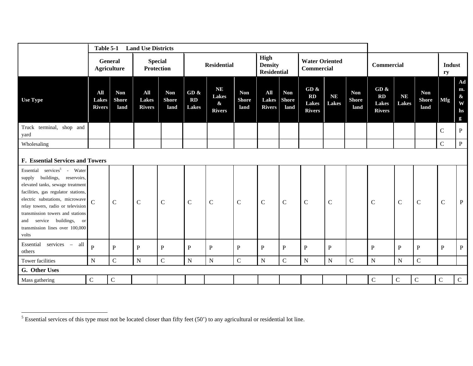|                                                                                                                                                                                                                                                                                                                                                | Table 5-1<br><b>Land Use Districts</b> |                                    |                                     |                                    |                     |                                                                 |                                    |                                              |                                    |                                             |                           |                                    |                                             |                           |                                    |                     |                                               |  |  |  |  |
|------------------------------------------------------------------------------------------------------------------------------------------------------------------------------------------------------------------------------------------------------------------------------------------------------------------------------------------------|----------------------------------------|------------------------------------|-------------------------------------|------------------------------------|---------------------|-----------------------------------------------------------------|------------------------------------|----------------------------------------------|------------------------------------|---------------------------------------------|---------------------------|------------------------------------|---------------------------------------------|---------------------------|------------------------------------|---------------------|-----------------------------------------------|--|--|--|--|
|                                                                                                                                                                                                                                                                                                                                                | <b>General</b><br><b>Agriculture</b>   |                                    | <b>Special</b><br><b>Protection</b> |                                    | <b>Residential</b>  |                                                                 |                                    | High<br><b>Density</b><br><b>Residential</b> |                                    | <b>Water Oriented</b><br><b>Commercial</b>  |                           |                                    | Commercial                                  |                           |                                    | <b>Indust</b><br>ry |                                               |  |  |  |  |
| <b>Use Type</b>                                                                                                                                                                                                                                                                                                                                | All<br><b>Lakes</b><br><b>Rivers</b>   | <b>Non</b><br><b>Shore</b><br>land | All<br>Lakes<br><b>Rivers</b>       | <b>Non</b><br><b>Shore</b><br>land | GD &<br>RD<br>Lakes | <b>NE</b><br><b>Lakes</b><br>$\mathbf{\alpha}$<br><b>Rivers</b> | <b>Non</b><br><b>Shore</b><br>land | All<br><b>Lakes</b><br><b>Rivers</b>         | <b>Non</b><br><b>Shore</b><br>land | GD &<br>RD<br><b>Lakes</b><br><b>Rivers</b> | <b>NE</b><br><b>Lakes</b> | <b>Non</b><br><b>Shore</b><br>land | GD &<br>RD<br><b>Lakes</b><br><b>Rivers</b> | <b>NE</b><br><b>Lakes</b> | <b>Non</b><br><b>Shore</b><br>land | <b>Mfg</b>          | Ad<br>m.<br>$\boldsymbol{\&}$<br>W<br>hs<br>g |  |  |  |  |
| Truck terminal, shop and<br>yard                                                                                                                                                                                                                                                                                                               |                                        |                                    |                                     |                                    |                     |                                                                 |                                    |                                              |                                    |                                             |                           |                                    |                                             |                           |                                    | $\mathsf{C}$        | $\, {\bf P}$                                  |  |  |  |  |
| Wholesaling                                                                                                                                                                                                                                                                                                                                    |                                        |                                    |                                     |                                    |                     |                                                                 |                                    |                                              |                                    |                                             |                           |                                    |                                             |                           |                                    | $\mathbf C$         | $\mathbf{P}$                                  |  |  |  |  |
|                                                                                                                                                                                                                                                                                                                                                | F. Essential Services and Towers       |                                    |                                     |                                    |                     |                                                                 |                                    |                                              |                                    |                                             |                           |                                    |                                             |                           |                                    |                     |                                               |  |  |  |  |
| Essential services <sup>5</sup> - Water<br>buildings, reservoirs,<br>supply<br>elevated tanks, sewage treatment<br>facilities, gas regulator stations,<br>electric substations, microwave<br>relay towers, radio or television<br>transmission towers and stations<br>service buildings, or<br>and<br>transmission lines over 100,000<br>volts | $\overline{C}$                         | $\mathcal{C}$                      | $\mathbf C$                         | $\mathbf C$                        | $\mathsf C$         | $\mathcal{C}$                                                   | $\mathbf C$                        | $\mathcal{C}$                                | $\mathbf C$                        | $\mathsf{C}$                                | $\mathcal{C}$             |                                    | $\mathbf C$                                 | $\mathbf C$               | $\mathbf C$                        | $\mathbf C$         | $\, {\bf P}$                                  |  |  |  |  |
| services -<br>Essential<br>all<br>others                                                                                                                                                                                                                                                                                                       | $\mathbf{P}$                           | $\, {\bf P}$                       | $\mathbf P$                         | P                                  | $\mathbf{P}$        | $\mathbf{P}$                                                    | $\, {\bf P}$                       | $\mathbf{P}$                                 | ${\bf P}$                          | P                                           | $\mathbf{P}$              |                                    | $\mathbf P$                                 | $\mathbf P$               | P                                  | $\mathbf{P}$        | $\mathbf{P}$                                  |  |  |  |  |
| Tower facilities                                                                                                                                                                                                                                                                                                                               | ${\bf N}$                              | ${\bf C}$                          | ${\bf N}$                           | $\mathsf{C}$                       | ${\bf N}$           | ${\bf N}$                                                       | $\mathbf C$                        | $\mathbf N$                                  | $\mathsf{C}$                       | ${\bf N}$                                   | ${\bf N}$                 | ${\bf C}$                          | ${\bf N}$                                   | ${\bf N}$                 | $\mathsf{C}$                       |                     |                                               |  |  |  |  |
| G. Other Uses                                                                                                                                                                                                                                                                                                                                  |                                        |                                    |                                     |                                    |                     |                                                                 |                                    |                                              |                                    |                                             |                           |                                    |                                             |                           |                                    |                     |                                               |  |  |  |  |
| Mass gathering                                                                                                                                                                                                                                                                                                                                 | $\mathbf C$                            | $\mathbf C$                        |                                     |                                    |                     |                                                                 |                                    |                                              |                                    |                                             |                           |                                    | $\mathbf C$                                 | $\mathbf C$               | $\mathbf C$                        | $\mathbf C$         | $\mathsf{C}$                                  |  |  |  |  |

 $<sup>5</sup>$  Essential services of this type must not be located closer than fifty feet (50') to any agricultural or residential lot line.</sup>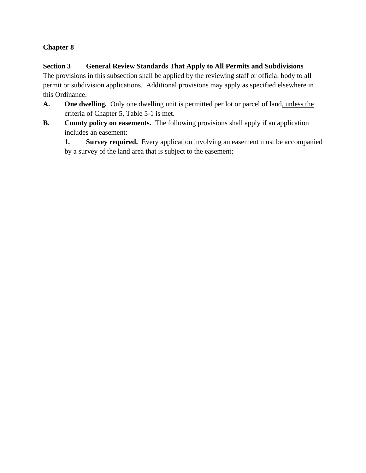## **Section 3 General Review Standards That Apply to All Permits and Subdivisions**

The provisions in this subsection shall be applied by the reviewing staff or official body to all permit or subdivision applications. Additional provisions may apply as specified elsewhere in this Ordinance.

- **A. One dwelling.** Only one dwelling unit is permitted per lot or parcel of land, unless the criteria of Chapter 5, Table 5-1 is met.
- **B.** County policy on easements. The following provisions shall apply if an application includes an easement:

**1.** Survey required. Every application involving an easement must be accompanied by a survey of the land area that is subject to the easement;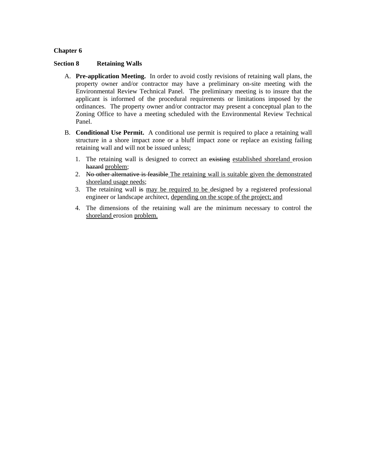### **Section 8 Retaining Walls**

- A. **Pre-application Meeting.** In order to avoid costly revisions of retaining wall plans, the property owner and/or contractor may have a preliminary on-site meeting with the Environmental Review Technical Panel. The preliminary meeting is to insure that the applicant is informed of the procedural requirements or limitations imposed by the ordinances. The property owner and/or contractor may present a conceptual plan to the Zoning Office to have a meeting scheduled with the Environmental Review Technical Panel.
- B. **Conditional Use Permit.** A conditional use permit is required to place a retaining wall structure in a shore impact zone or a bluff impact zone or replace an existing failing retaining wall and will not be issued unless;
	- 1. The retaining wall is designed to correct an existing established shoreland erosion hazard problem;
	- 2. No other alternative is feasible The retaining wall is suitable given the demonstrated shoreland usage needs;
	- 3. The retaining wall is may be required to be designed by a registered professional engineer or landscape architect, depending on the scope of the project; and
	- 4. The dimensions of the retaining wall are the minimum necessary to control the shoreland erosion problem.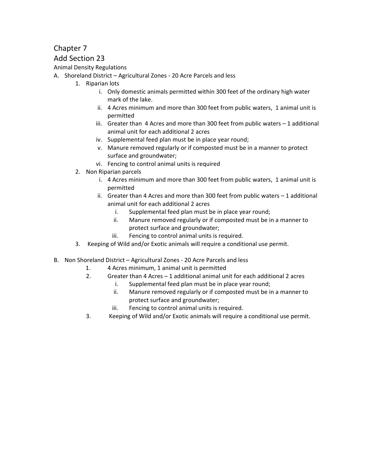## Add Section 23

Animal Density Regulations

- A. Shoreland District Agricultural Zones ‐ 20 Acre Parcels and less
	- 1. Riparian lots
		- i. Only domestic animals permitted within 300 feet of the ordinary high water mark of the lake.
		- ii. 4 Acres minimum and more than 300 feet from public waters, 1 animal unit is permitted
		- iii. Greater than 4 Acres and more than 300 feet from public waters 1 additional animal unit for each additional 2 acres
		- iv. Supplemental feed plan must be in place year round;
		- v. Manure removed regularly or if composted must be in a manner to protect surface and groundwater;
		- vi. Fencing to control animal units is required
	- 2. Non Riparian parcels
		- i. 4 Acres minimum and more than 300 feet from public waters, 1 animal unit is permitted
		- ii. Greater than 4 Acres and more than 300 feet from public waters 1 additional animal unit for each additional 2 acres
			- i. Supplemental feed plan must be in place year round;
			- ii. Manure removed regularly or if composted must be in a manner to protect surface and groundwater;
			- iii. Fencing to control animal units is required.
	- 3. Keeping of Wild and/or Exotic animals will require a conditional use permit.
- B. Non Shoreland District Agricultural Zones ‐ 20 Acre Parcels and less
	- 1. 4 Acres minimum, 1 animal unit is permitted
	- 2. Greater than 4 Acres 1 additional animal unit for each additional 2 acres
		- i. Supplemental feed plan must be in place year round;
		- ii. Manure removed regularly or if composted must be in a manner to protect surface and groundwater;
		- iii. Fencing to control animal units is required.
	- 3. Keeping of Wild and/or Exotic animals will require a conditional use permit.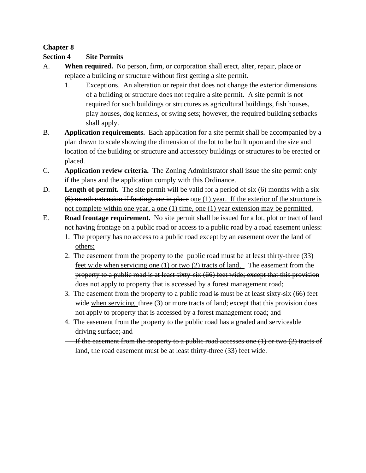## **Section 4 Site Permits**

- A. **When required.** No person, firm, or corporation shall erect, alter, repair, place or replace a building or structure without first getting a site permit.
	- 1. Exceptions. An alteration or repair that does not change the exterior dimensions of a building or structure does not require a site permit. A site permit is not required for such buildings or structures as agricultural buildings, fish houses, play houses, dog kennels, or swing sets; however, the required building setbacks shall apply.
- B. **Application requirements.** Each application for a site permit shall be accompanied by a plan drawn to scale showing the dimension of the lot to be built upon and the size and location of the building or structure and accessory buildings or structures to be erected or placed.
- C. **Application review criteria.** The Zoning Administrator shall issue the site permit only if the plans and the application comply with this Ordinance.
- D. **Length of permit.** The site permit will be valid for a period of  $s$ ix (6) months with a six (6) month extension if footings are in place one (1) year. If the exterior of the structure is not complete within one year, a one (1) time, one (1) year extension may be permitted.
- E. **Road frontage requirement.** No site permit shall be issued for a lot, plot or tract of land not having frontage on a public road or access to a public road by a road easement unless: 1. The property has no access to a public road except by an easement over the land of

others;

- 2. The easement from the property to the public road must be at least thirty-three (33) feet wide when servicing one (1) or two (2) tracts of land, The easement from the property to a public road is at least sixty-six (66) feet wide; except that this provision does not apply to property that is accessed by a forest management road;
- 3. The easement from the property to a public road  $\frac{1}{2}$  must be at least sixty-six (66) feet wide when servicing three (3) or more tracts of land; except that this provision does not apply to property that is accessed by a forest management road; and
- 4. The easement from the property to the public road has a graded and serviceable driving surface; and
- If the easement from the property to a public road accesses one (1) or two (2) tracts of
- land, the road easement must be at least thirty-three (33) feet wide.